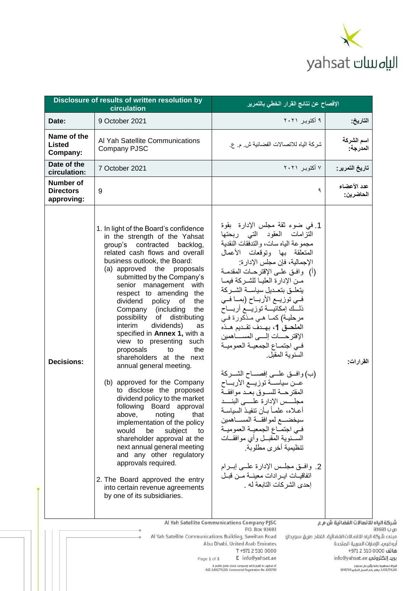

| Disclosure of results of written resolution by<br>circulation |                                                                                                                                                                                                                                                                                                                                                                                                                                                                                                                                                                                                                                                                                                                                                                                                                                                                                                                                                                                                               | الإفصاح عن نتائج القرار الخطي بالتمرير                                                                                                                                                                                                                                                                                                                                                                                                                                                                                                                                                                                                                                                                                                                                                                                                                                                                                                                                                                                          |                                       |
|---------------------------------------------------------------|---------------------------------------------------------------------------------------------------------------------------------------------------------------------------------------------------------------------------------------------------------------------------------------------------------------------------------------------------------------------------------------------------------------------------------------------------------------------------------------------------------------------------------------------------------------------------------------------------------------------------------------------------------------------------------------------------------------------------------------------------------------------------------------------------------------------------------------------------------------------------------------------------------------------------------------------------------------------------------------------------------------|---------------------------------------------------------------------------------------------------------------------------------------------------------------------------------------------------------------------------------------------------------------------------------------------------------------------------------------------------------------------------------------------------------------------------------------------------------------------------------------------------------------------------------------------------------------------------------------------------------------------------------------------------------------------------------------------------------------------------------------------------------------------------------------------------------------------------------------------------------------------------------------------------------------------------------------------------------------------------------------------------------------------------------|---------------------------------------|
| Date:                                                         | 9 October 2021                                                                                                                                                                                                                                                                                                                                                                                                                                                                                                                                                                                                                                                                                                                                                                                                                                                                                                                                                                                                | ۹ أكتوبر ۲۰۲۱                                                                                                                                                                                                                                                                                                                                                                                                                                                                                                                                                                                                                                                                                                                                                                                                                                                                                                                                                                                                                   | التاريخ:                              |
| Name of the<br><b>Listed</b><br>Company:                      | Al Yah Satellite Communications<br>Company PJSC                                                                                                                                                                                                                                                                                                                                                                                                                                                                                                                                                                                                                                                                                                                                                                                                                                                                                                                                                               | شركة الياه للاتصالات الفضائية ش م. ع.                                                                                                                                                                                                                                                                                                                                                                                                                                                                                                                                                                                                                                                                                                                                                                                                                                                                                                                                                                                           | اسم الشركة<br>المدرجة:                |
| Date of the<br>circulation:                                   | 7 October 2021                                                                                                                                                                                                                                                                                                                                                                                                                                                                                                                                                                                                                                                                                                                                                                                                                                                                                                                                                                                                | ۷ أكتوبر ۲۰۲۱                                                                                                                                                                                                                                                                                                                                                                                                                                                                                                                                                                                                                                                                                                                                                                                                                                                                                                                                                                                                                   | تاريخ التمرير :                       |
| <b>Number of</b><br><b>Directors</b><br>approving:            | 9                                                                                                                                                                                                                                                                                                                                                                                                                                                                                                                                                                                                                                                                                                                                                                                                                                                                                                                                                                                                             | ٩                                                                                                                                                                                                                                                                                                                                                                                                                                                                                                                                                                                                                                                                                                                                                                                                                                                                                                                                                                                                                               | عدد الأعضاء<br>الحاضرين:              |
| <b>Decisions:</b>                                             | 1. In light of the Board's confidence<br>in the strength of the Yahsat<br>group's contracted backlog,<br>related cash flows and overall<br>business outlook, the Board:<br>(a) approved the proposals<br>submitted by the Company's<br>senior management with<br>respect to amending<br>the<br>dividend policy of<br>the<br>Company (including<br>the<br>possibility of distributing<br>dividends)<br>interim<br>as<br>specified in Annex 1, with a<br>view to presenting<br>such<br>proposals<br>the<br>to<br>shareholders at the next<br>annual general meeting.<br>(b) approved for the Company<br>to disclose the proposed<br>dividend policy to the market<br>following Board approval<br>above.<br>noting<br>that<br>implementation of the policy<br>would<br>be<br>subject<br>to<br>shareholder approval at the<br>next annual general meeting<br>and any other regulatory<br>approvals required.<br>2. The Board approved the entry<br>into certain revenue agreements<br>by one of its subsidiaries. | 1. في ضوء ثقة مجلس الإدارة  بقوة<br>التزامات العقود التبى ربحتها<br>مجموعة الياه سات، والندفقات النقدية<br>المتعلقة بها وتوقعات الأعمال<br>الإجمالية، فإن مجلس الإدارة:<br>(أ)   وإفــق علــي الإقترحــات المقدمــة<br>مـن الإدارة العليــا للشــركة فيمــا<br>يتعلىق بتعمديل سياسمة الشمركة<br>فـي توزيــع الأربــاح (بمــا فــي<br>ذلـــك إمكانيــــة توزيــــع أربـــــاح<br>مرحلية) كما هي مذكورة في<br>الملحــق 1، بهــدف تقــديم هــذه<br>الإقترحسات إلسى المساهمين<br>فيي اجتماع الجمعيــة العموميــة<br>السنوبة المقبل<br>(ب) وافسق علسي إفصـــاح الشـــركة<br>عــن سياســـة توزيـــع الأربـــاح<br>المقترحـــة للســوق بعــد موافقــة<br>مجلسس الإدارة علسى البنسد<br>أعـلاه، علمــاً بــان تنفيـذ السياسـة<br>سيخضـــع لموافقـــة المســــاهمين<br>في اجتماع الجمعية العمومية<br>الســــنويـة المـقبــــل وأي موافقـــات<br>تنظيمية أخرى مطلوبة<br>2. وافــق مجلــس الإدارة علـــي إبـــرام<br>اتفاقيــات ايــر ادات معينـــة مــن قبــل<br>إحدى الشركات التابعة له .<br>Al Yah Satellite Communications Company PJSC | القرارات:<br>للاتصالات الفضائية ش م ع |

شركة الياه ا س ب 93693 مبنهء شركة الياه للاتصالات الفضائية، الفلاح طريق سويحان أبوظبها، الإمارات العربية المتحدة شاتف 0000 510 971 +971 info@yahsat.ae بريد إلكترونم ع شركة مساهمة عامة برأس مال مدفوع.<br>2,439,770,265 درهم، رقم السجل التجاري 1005700

Al Yah Satellite Communications Building, Sweihan Road Abu Dhabi, United Arab Emirates T +971 2 510 0000 E info@yahsat.ae Page 1 of 3<br>A public joint stock company with paid in capital of<br>AED 2,439,770,265. Commercial Registration No. 1005700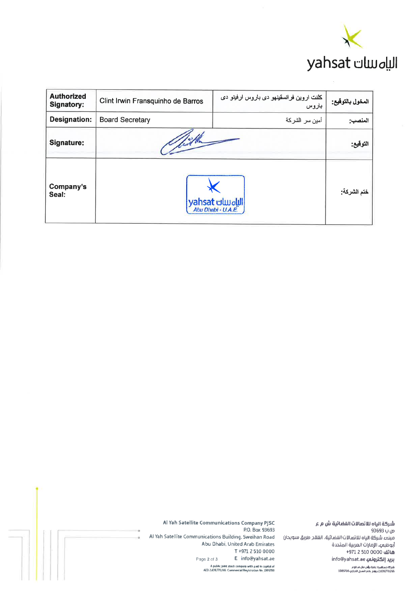

| <b>Authorized</b><br><b>Signatory:</b> | Clint Irwin Fransquinho de Barros | كلنت اروين فرانسقينهو دي باروس ارفينو دي<br>باروس | المخول بالتوقيع: |
|----------------------------------------|-----------------------------------|---------------------------------------------------|------------------|
| <b>Designation:</b>                    | <b>Board Secretary</b>            | أمين سر الشركة                                    | المنصب:          |
| Signature:                             | Mille                             |                                                   | التوقيع:         |
| Company's<br>Seal:                     | yahsat الله السات yahsat          |                                                   | ختم الشركة:      |

Al Yah Satellite Communications Company PJSC شَرِكَةَ الياه للاتِّصالاتَ الفَضَائِيَةَ شَ مِ ع P.O. Box 93693 ص ب 93693 Al Yah Satellite Communications Building, Sweihan Road مبنهء شركة الياه للاتصالات الفضائية، الفلاد طريق سويحان Abu Dhabi, United Arab Emirates أبوظباي، الإمارات العربية المتحدة T+971 2 510 0000 شاتف 0000 510 4971 E info@yahsat.ae info@yahsat.ae بريد إلكتر<mark>ونم</mark> Page 2 of 3 .<br>A public joint stock company with paid in capital of<br>AED 2,439,770,265 Commercial Registration No. 1005700 رانزكة مساهرته عامة برأس مال مناقع<br>2,439,770,265 درامم ، رقم السجل التجاري 1005700